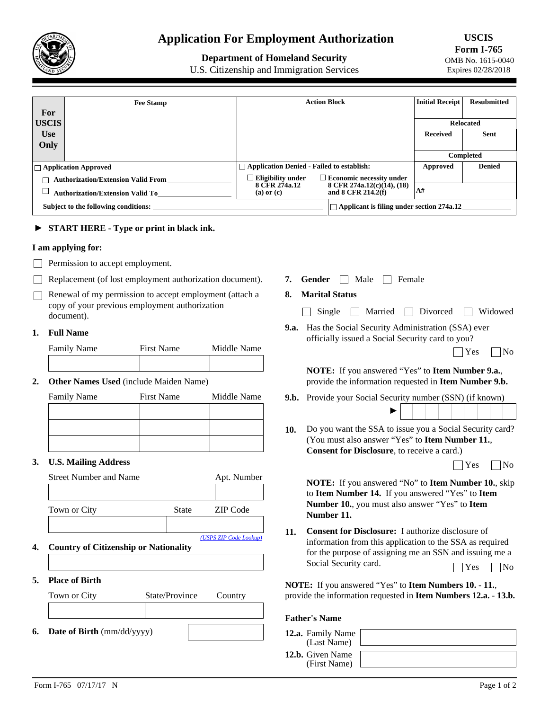

# **Application For Employment Authorization**

# **Department of Homeland Security**

U.S. Citizenship and Immigration Services

**USCIS Form I-765**  OMB No. 1615-0040 Expires 02/28/2018

|                                      | <b>Fee Stamp</b>                          | <b>Action Block</b>                              |                                                  | <b>Initial Receipt</b> | <b>Resubmitted</b> |
|--------------------------------------|-------------------------------------------|--------------------------------------------------|--------------------------------------------------|------------------------|--------------------|
| For                                  |                                           |                                                  |                                                  |                        |                    |
| <b>USCIS</b>                         |                                           |                                                  |                                                  |                        | <b>Relocated</b>   |
| <b>Use</b>                           |                                           |                                                  |                                                  | <b>Received</b>        | <b>Sent</b>        |
| Only                                 |                                           |                                                  |                                                  |                        |                    |
|                                      |                                           |                                                  |                                                  |                        | Completed          |
|                                      | $ \Box$ Application Approved              | $\Box$ Application Denied - Failed to establish: |                                                  | Approved               | <b>Denied</b>      |
|                                      | <b>Authorization/Extension Valid From</b> | Eligibility under                                | $\Box$ Economic necessity under                  |                        |                    |
|                                      | <b>Authorization/Extension Valid To</b>   | 8 CFR 274a.12<br>$(a)$ or $(c)$                  | 8 CFR 274a.12(c)(14), (18)<br>and 8 CFR 214.2(f) | A#                     |                    |
| Subject to the following conditions: |                                           |                                                  | $\Box$ Applicant is filing under section 274a.12 |                        |                    |

# ► **START HERE - Type or print in black ink.**

#### **I am applying for:**

- **Permission to accept employment.**
- Replacement (of lost employment authorization document).
- $\Box$  Renewal of my permission to accept employment (attach a copy of your previous employment authorization document).

#### **1. Full Name**

| <b>Family Name</b> | <b>First Name</b> | Middle Name |
|--------------------|-------------------|-------------|
|                    |                   |             |

#### **2. Other Names Used** (include Maiden Name)

#### **U.S. Mailing Address 3.**

|       | Apt. Number                           |
|-------|---------------------------------------|
|       |                                       |
| State | ZIP Code                              |
|       |                                       |
|       | (USPS ZIP Code Lookup)                |
|       | Country of Citizenship on Notionality |

- **4. Country of Citizenship or Nationality**
- **5. Place of Birth**

| Town or City                                  | State/Province | Country |
|-----------------------------------------------|----------------|---------|
|                                               |                |         |
| <b>6.</b> Date of Birth $\text{(mm/dd/yyyy)}$ |                |         |

- **7. Gender**  $\Box$  **Male**  $\Box$  **Female**
- **8. Marital Status**
	- Single Married Divorced Widowed
- **9.a.** Has the Social Security Administration (SSA) ever officially issued a Social Security card to you?

| Yes<br>$\overline{\phantom{a}}$ | No |
|---------------------------------|----|
|                                 |    |

**NOTE:** If you answered "Yes" to **Item Number 9.a.**, provide the information requested in **Item Number 9.b.**

- **9.b.** Provide your Social Security number (SSN) (if known) ►
- Do you want the SSA to issue you a Social Security card? **10.** (You must also answer "Yes" to **Item Number 11.**, **Consent for Disclosure**, to receive a card.)

| חצ<br>. |
|---------|
|---------|

**NOTE:** If you answered "No" to **Item Number 10.**, skip to **Item Number 14.** If you answered "Yes" to **Item Number 10.**, you must also answer "Yes" to **Item Number 11.**

**Consent for Disclosure:** I authorize disclosure of information from this application to the SSA as required for the purpose of assigning me an SSN and issuing me a Social Security card. **11.**  $\Box$  Yes  $\Box$  No

**NOTE:** If you answered "Yes" to **Item Numbers 10.** - **11.**, provide the information requested in **Item Numbers 12.a.** - **13.b.**

#### **Father's Name**

**12.a.** Family  $(Last)$ **12.b.** Given  $(First)$ 

| y Name<br>Name) |  |
|-----------------|--|
| Name<br>Name)   |  |